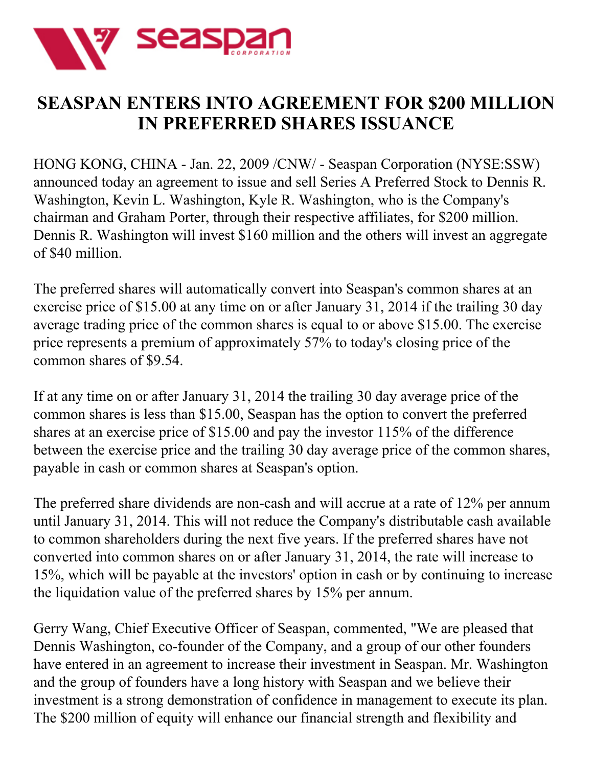

## **SEASPAN ENTERS INTO AGREEMENT FOR \$200 MILLION IN PREFERRED SHARES ISSUANCE**

HONG KONG, CHINA - Jan. 22, 2009 /CNW/ - Seaspan Corporation (NYSE:SSW) announced today an agreement to issue and sell Series A Preferred Stock to Dennis R. Washington, Kevin L. Washington, Kyle R. Washington, who is the Company's chairman and Graham Porter, through their respective affiliates, for \$200 million. Dennis R. Washington will invest \$160 million and the others will invest an aggregate of \$40 million.

The preferred shares will automatically convert into Seaspan's common shares at an exercise price of \$15.00 at any time on or after January 31, 2014 if the trailing 30 day average trading price of the common shares is equal to or above \$15.00. The exercise price represents a premium of approximately 57% to today's closing price of the common shares of \$9.54.

If at any time on or after January 31, 2014 the trailing 30 day average price of the common shares is less than \$15.00, Seaspan has the option to convert the preferred shares at an exercise price of \$15.00 and pay the investor 115% of the difference between the exercise price and the trailing 30 day average price of the common shares, payable in cash or common shares at Seaspan's option.

The preferred share dividends are non-cash and will accrue at a rate of 12% per annum until January 31, 2014. This will not reduce the Company's distributable cash available to common shareholders during the next five years. If the preferred shares have not converted into common shares on or after January 31, 2014, the rate will increase to 15%, which will be payable at the investors' option in cash or by continuing to increase the liquidation value of the preferred shares by 15% per annum.

Gerry Wang, Chief Executive Officer of Seaspan, commented, "We are pleased that Dennis Washington, co-founder of the Company, and a group of our other founders have entered in an agreement to increase their investment in Seaspan. Mr. Washington and the group of founders have a long history with Seaspan and we believe their investment is a strong demonstration of confidence in management to execute its plan. The \$200 million of equity will enhance our financial strength and flexibility and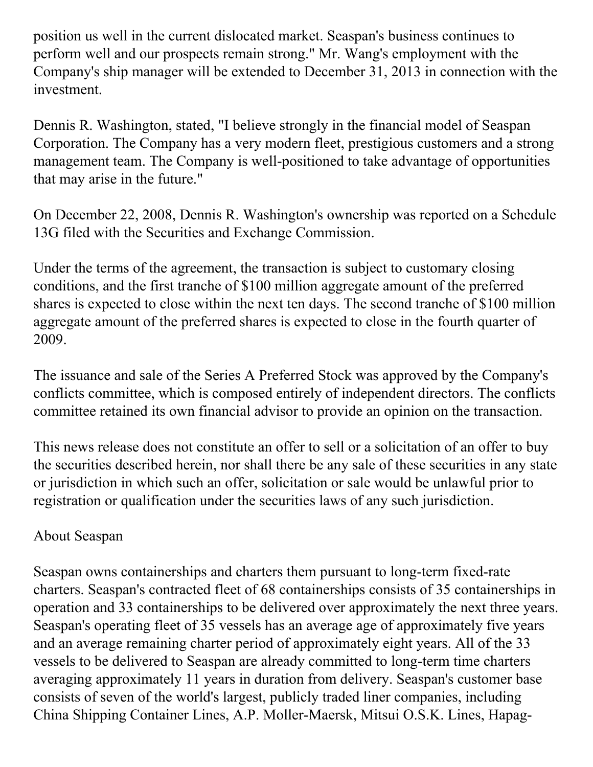position us well in the current dislocated market. Seaspan's business continues to perform well and our prospects remain strong." Mr. Wang's employment with the Company's ship manager will be extended to December 31, 2013 in connection with the investment.

Dennis R. Washington, stated, "I believe strongly in the financial model of Seaspan Corporation. The Company has a very modern fleet, prestigious customers and a strong management team. The Company is well-positioned to take advantage of opportunities that may arise in the future."

On December 22, 2008, Dennis R. Washington's ownership was reported on a Schedule 13G filed with the Securities and Exchange Commission.

Under the terms of the agreement, the transaction is subject to customary closing conditions, and the first tranche of \$100 million aggregate amount of the preferred shares is expected to close within the next ten days. The second tranche of \$100 million aggregate amount of the preferred shares is expected to close in the fourth quarter of 2009.

The issuance and sale of the Series A Preferred Stock was approved by the Company's conflicts committee, which is composed entirely of independent directors. The conflicts committee retained its own financial advisor to provide an opinion on the transaction.

This news release does not constitute an offer to sell or a solicitation of an offer to buy the securities described herein, nor shall there be any sale of these securities in any state or jurisdiction in which such an offer, solicitation or sale would be unlawful prior to registration or qualification under the securities laws of any such jurisdiction.

## About Seaspan

Seaspan owns containerships and charters them pursuant to long-term fixed-rate charters. Seaspan's contracted fleet of 68 containerships consists of 35 containerships in operation and 33 containerships to be delivered over approximately the next three years. Seaspan's operating fleet of 35 vessels has an average age of approximately five years and an average remaining charter period of approximately eight years. All of the 33 vessels to be delivered to Seaspan are already committed to long-term time charters averaging approximately 11 years in duration from delivery. Seaspan's customer base consists of seven of the world's largest, publicly traded liner companies, including China Shipping Container Lines, A.P. Moller-Maersk, Mitsui O.S.K. Lines, Hapag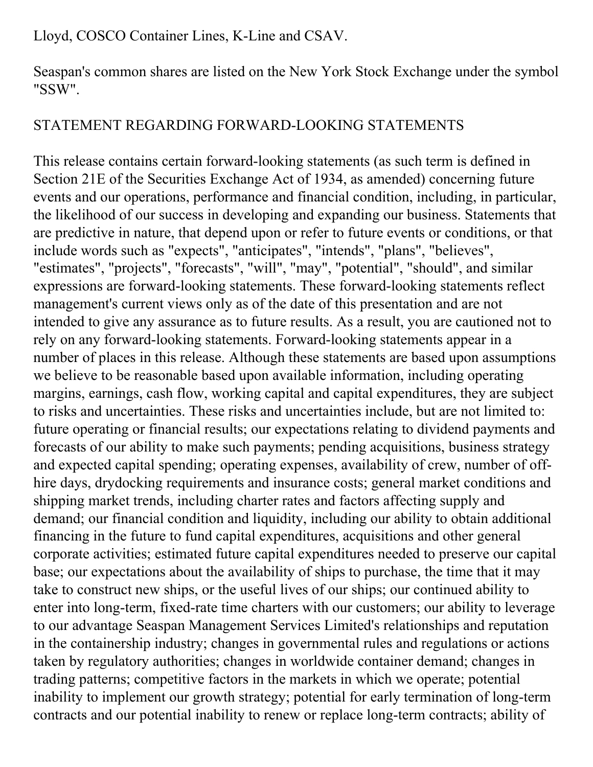Lloyd, COSCO Container Lines, K-Line and CSAV.

Seaspan's common shares are listed on the New York Stock Exchange under the symbol "SSW".

## STATEMENT REGARDING FORWARD-LOOKING STATEMENTS

This release contains certain forward-looking statements (as such term is defined in Section 21E of the Securities Exchange Act of 1934, as amended) concerning future events and our operations, performance and financial condition, including, in particular, the likelihood of our success in developing and expanding our business. Statements that are predictive in nature, that depend upon or refer to future events or conditions, or that include words such as "expects", "anticipates", "intends", "plans", "believes", "estimates", "projects", "forecasts", "will", "may", "potential", "should", and similar expressions are forward-looking statements. These forward-looking statements reflect management's current views only as of the date of this presentation and are not intended to give any assurance as to future results. As a result, you are cautioned not to rely on any forward-looking statements. Forward-looking statements appear in a number of places in this release. Although these statements are based upon assumptions we believe to be reasonable based upon available information, including operating margins, earnings, cash flow, working capital and capital expenditures, they are subject to risks and uncertainties. These risks and uncertainties include, but are not limited to: future operating or financial results; our expectations relating to dividend payments and forecasts of our ability to make such payments; pending acquisitions, business strategy and expected capital spending; operating expenses, availability of crew, number of offhire days, drydocking requirements and insurance costs; general market conditions and shipping market trends, including charter rates and factors affecting supply and demand; our financial condition and liquidity, including our ability to obtain additional financing in the future to fund capital expenditures, acquisitions and other general corporate activities; estimated future capital expenditures needed to preserve our capital base; our expectations about the availability of ships to purchase, the time that it may take to construct new ships, or the useful lives of our ships; our continued ability to enter into long-term, fixed-rate time charters with our customers; our ability to leverage to our advantage Seaspan Management Services Limited's relationships and reputation in the containership industry; changes in governmental rules and regulations or actions taken by regulatory authorities; changes in worldwide container demand; changes in trading patterns; competitive factors in the markets in which we operate; potential inability to implement our growth strategy; potential for early termination of long-term contracts and our potential inability to renew or replace long-term contracts; ability of